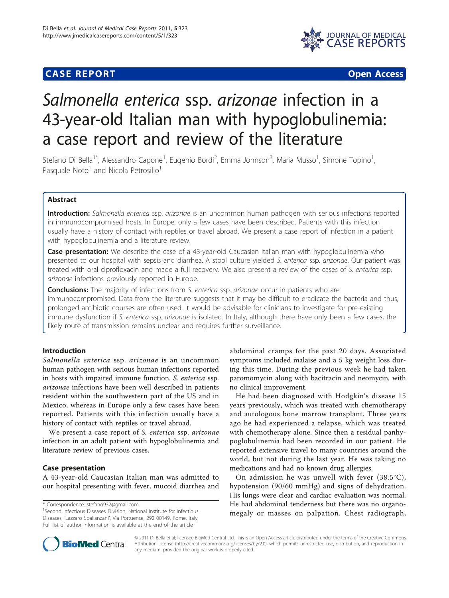## **CASE REPORT CASE REPORT CASE ACCESS**



# Salmonella enterica ssp. arizonae infection in a 43-year-old Italian man with hypoglobulinemia: a case report and review of the literature

Stefano Di Bella<sup>1\*</sup>, Alessandro Capone<sup>1</sup>, Eugenio Bordi<sup>2</sup>, Emma Johnson<sup>3</sup>, Maria Musso<sup>1</sup>, Simone Topino<sup>1</sup> , Pasquale Noto<sup>1</sup> and Nicola Petrosillo<sup>1</sup>

## Abstract

Introduction: Salmonella enterica ssp. arizonae is an uncommon human pathogen with serious infections reported in immunocompromised hosts. In Europe, only a few cases have been described. Patients with this infection usually have a history of contact with reptiles or travel abroad. We present a case report of infection in a patient with hypoglobulinemia and a literature review.

Case presentation: We describe the case of a 43-year-old Caucasian Italian man with hypoglobulinemia who presented to our hospital with sepsis and diarrhea. A stool culture yielded S. enterica ssp. arizonae. Our patient was treated with oral ciprofloxacin and made a full recovery. We also present a review of the cases of S. enterica ssp. arizonae infections previously reported in Europe.

**Conclusions:** The majority of infections from S. enterica ssp. arizonae occur in patients who are immunocompromised. Data from the literature suggests that it may be difficult to eradicate the bacteria and thus, prolonged antibiotic courses are often used. It would be advisable for clinicians to investigate for pre-existing immune dysfunction if S. enterica ssp. arizonae is isolated. In Italy, although there have only been a few cases, the likely route of transmission remains unclear and requires further surveillance.

## Introduction

Salmonella enterica ssp. arizonae is an uncommon human pathogen with serious human infections reported in hosts with impaired immune function. S. enterica ssp. arizonae infections have been well described in patients resident within the southwestern part of the US and in Mexico, whereas in Europe only a few cases have been reported. Patients with this infection usually have a history of contact with reptiles or travel abroad.

We present a case report of S. enterica ssp. arizonae infection in an adult patient with hypoglobulinemia and literature review of previous cases.

## Case presentation

A 43-year-old Caucasian Italian man was admitted to our hospital presenting with fever, mucoid diarrhea and

\* Correspondence: [stefano932@gmail.com](mailto:stefano932@gmail.com)

<sup>1</sup>Second Infectious Diseases Division, National Institute for Infectious Diseases, 'Lazzaro Spallanzani', Via Portuense, 292 00149, Rome, Italy Full list of author information is available at the end of the article

abdominal cramps for the past 20 days. Associated symptoms included malaise and a 5 kg weight loss during this time. During the previous week he had taken paromomycin along with bacitracin and neomycin, with no clinical improvement.

He had been diagnosed with Hodgkin's disease 15 years previously, which was treated with chemotherapy and autologous bone marrow transplant. Three years ago he had experienced a relapse, which was treated with chemotherapy alone. Since then a residual panhypoglobulinemia had been recorded in our patient. He reported extensive travel to many countries around the world, but not during the last year. He was taking no medications and had no known drug allergies.

On admission he was unwell with fever (38.5°C), hypotension (90/60 mmHg) and signs of dehydration. His lungs were clear and cardiac evaluation was normal. He had abdominal tenderness but there was no organomegaly or masses on palpation. Chest radiograph,



© 2011 Di Bella et al; licensee BioMed Central Ltd. This is an Open Access article distributed under the terms of the Creative Commons Attribution License [\(http://creativecommons.org/licenses/by/2.0](http://creativecommons.org/licenses/by/2.0)), which permits unrestricted use, distribution, and reproduction in any medium, provided the original work is properly cited.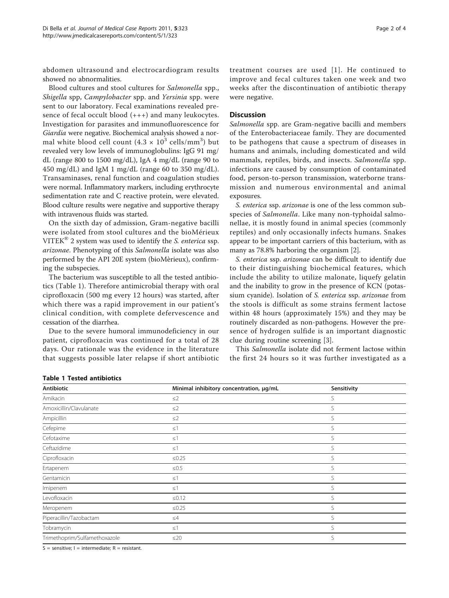abdomen ultrasound and electrocardiogram results showed no abnormalities.

Blood cultures and stool cultures for Salmonella spp., Shigella spp, Campylobacter spp. and Yersinia spp. were sent to our laboratory. Fecal examinations revealed presence of fecal occult blood (+++) and many leukocytes. Investigation for parasites and immunofluorescence for Giardia were negative. Biochemical analysis showed a normal white blood cell count (4.3  $\times$  10 $^3$  cells/mm $^3$ ) but revealed very low levels of immunoglobulins: IgG 91 mg/ dL (range 800 to 1500 mg/dL), IgA 4 mg/dL (range 90 to 450 mg/dL) and IgM 1 mg/dL (range 60 to 350 mg/dL). Transaminases, renal function and coagulation studies were normal. Inflammatory markers, including erythrocyte sedimentation rate and C reactive protein, were elevated. Blood culture results were negative and supportive therapy with intravenous fluids was started.

On the sixth day of admission, Gram-negative bacilli were isolated from stool cultures and the bioMérieux VITEK $^{\circledR}$  2 system was used to identify the *S. enterica* ssp. arizonae. Phenotyping of this Salmonella isolate was also performed by the API 20E system (bioMèrieux), confirming the subspecies.

The bacterium was susceptible to all the tested antibiotics (Table 1). Therefore antimicrobial therapy with oral ciprofloxacin (500 mg every 12 hours) was started, after which there was a rapid improvement in our patient's clinical condition, with complete defervescence and cessation of the diarrhea.

Due to the severe humoral immunodeficiency in our patient, ciprofloxacin was continued for a total of 28 days. Our rationale was the evidence in the literature that suggests possible later relapse if short antibiotic Page 2 of 4

treatment courses are used [[1\]](#page-3-0). He continued to improve and fecal cultures taken one week and two weeks after the discontinuation of antibiotic therapy were negative.

## **Discussion**

Salmonella spp. are Gram-negative bacilli and members of the Enterobacteriaceae family. They are documented to be pathogens that cause a spectrum of diseases in humans and animals, including domesticated and wild mammals, reptiles, birds, and insects. Salmonella spp. infections are caused by consumption of contaminated food, person-to-person transmission, waterborne transmission and numerous environmental and animal exposures.

S. enterica ssp. arizonae is one of the less common subspecies of Salmonella. Like many non-typhoidal salmonellae, it is mostly found in animal species (commonly reptiles) and only occasionally infects humans. Snakes appear to be important carriers of this bacterium, with as many as 78.8% harboring the organism [\[2](#page-3-0)].

S. enterica ssp. arizonae can be difficult to identify due to their distinguishing biochemical features, which include the ability to utilize malonate, liquefy gelatin and the inability to grow in the presence of KCN (potassium cyanide). Isolation of S. enterica ssp. arizonae from the stools is difficult as some strains ferment lactose within 48 hours (approximately 15%) and they may be routinely discarded as non-pathogens. However the presence of hydrogen sulfide is an important diagnostic clue during routine screening [\[3](#page-3-0)].

This Salmonella isolate did not ferment lactose within the first 24 hours so it was further investigated as a

| <b>Table 1 Tested antibiotics</b> |  |  |
|-----------------------------------|--|--|
|-----------------------------------|--|--|

| <b>Antibiotic</b>             | Minimal inhibitory concentration, µg/mL | Sensitivity |  |
|-------------------------------|-----------------------------------------|-------------|--|
| Amikacin                      | $\leq$ 2                                | S           |  |
| Amoxicillin/Clavulanate       | $\leq$ 2                                | S           |  |
| Ampicillin                    | $\leq$ 2                                | S           |  |
| Cefepime                      | $\leq$ 1                                | S           |  |
| Cefotaxime                    | $\leq$ 1                                | S           |  |
| Ceftazidime                   | $\leq$ 1                                | S           |  |
| Ciprofloxacin                 | $\leq 0.25$                             | S           |  |
| Ertapenem                     | $\leq 0.5$                              | S           |  |
| Gentamicin                    | $\leq$ 1                                | S           |  |
| Imipenem                      | $\leq$ 1                                | S           |  |
| Levofloxacin                  | $\leq 0.12$                             | S           |  |
| Meropenem                     | $\leq 0.25$                             | S           |  |
| Piperacillin/Tazobactam       | $\leq 4$                                | S           |  |
| Tobramycin                    | $\leq$ 1                                | S           |  |
| Trimethoprim/Sulfamethoxazole | $\leq$ 20                               | S           |  |

 $S =$  sensitive;  $I =$  intermediate;  $R =$  resistant.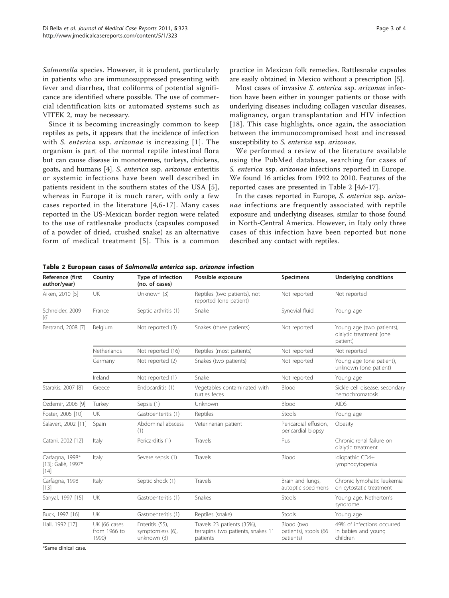VITEK 2, may be necessary.

Salmonella species. However, it is prudent, particularly in patients who are immunosuppressed presenting with fever and diarrhea, that coliforms of potential significance are identified where possible. The use of commercial identification kits or automated systems such as

Since it is becoming increasingly common to keep reptiles as pets, it appears that the incidence of infection with *S. enterica* ssp. *arizonae* is increasing [[1](#page-3-0)]. The organism is part of the normal reptile intestinal flora but can cause disease in monotremes, turkeys, chickens, goats, and humans [[4\]](#page-3-0). S. enterica ssp. arizonae enteritis or systemic infections have been well described in patients resident in the southern states of the USA [[5](#page-3-0)], whereas in Europe it is much rarer, with only a few cases reported in the literature [[4,6-17](#page-3-0)]. Many cases reported in the US-Mexican border region were related to the use of rattlesnake products (capsules composed of a powder of dried, crushed snake) as an alternative form of medical treatment [[5](#page-3-0)]. This is a common

practice in Mexican folk remedies. Rattlesnake capsules are easily obtained in Mexico without a prescription [\[5](#page-3-0)].

Most cases of invasive S. enterica ssp. arizonae infection have been either in younger patients or those with underlying diseases including collagen vascular diseases, malignancy, organ transplantation and HIV infection [[18\]](#page-3-0). This case highlights, once again, the association between the immunocompromised host and increased susceptibility to S. enterica ssp. arizonae.

We performed a review of the literature available using the PubMed database, searching for cases of S. enterica ssp. arizonae infections reported in Europe. We found 16 articles from 1992 to 2010. Features of the reported cases are presented in Table 2 [\[4](#page-3-0),[6](#page-3-0)-[17\]](#page-3-0).

In the cases reported in Europe, S. enterica ssp. arizonae infections are frequently associated with reptile exposure and underlying diseases, similar to those found in North-Central America. However, in Italy only three cases of this infection have been reported but none described any contact with reptiles.

| UK<br>Reptiles (two patients), not<br>Unknown (3)<br>Not reported<br>Not reported<br>reported (one patient)<br>France<br>Septic arthritis (1)<br>Synovial fluid<br>Snake<br>Young age<br>Not reported (3)<br>Snakes (three patients)<br>Not reported<br>Young age (two patients),<br>Belgium<br>dialytic treatment (one<br>patient)<br>Netherlands<br>Not reported (16)<br>Reptiles (most patients)<br>Not reported<br>Not reported<br>Not reported (2)<br>Snakes (two patients)<br>Young age (one patient),<br>Germany<br>Not reported<br>unknown (one patient)<br>Ireland<br>Not reported (1)<br>Not reported<br>Young age<br>Snake<br>Greece<br>Endocarditis (1)<br>Vegetables contaminated with<br>Blood<br>hemochromatosis<br>turtles feces<br>Blood<br><b>AIDS</b><br>Turkey<br>Sepsis (1)<br>Unknown<br><b>UK</b><br>Gastroenteritis (1)<br>Reptiles<br>Stools<br>Young age<br>Pericardial effusion,<br>Abdominal abscess<br>Spain<br>Veterinarian patient<br>Obesity<br>pericardial biopsy<br>(1)<br>Chronic renal failure on<br>Pericarditis (1)<br>Travels<br>Pus<br>Italy<br>dialytic treatment<br>Blood<br>Idiopathic CD4+<br>Italy<br>Severe sepsis (1)<br>Travels<br>lymphocytopenia<br>Chronic lymphatic leukemia<br>Septic shock (1)<br>Travels<br>Brain and lungs,<br>Italy<br>autoptic specimens<br>on cytostatic treatment<br>Snakes<br><b>UK</b><br>Gastroenteritis (1)<br>Stools<br>Young age, Netherton's<br>syndrome<br>UK<br>Gastroenteritis (1)<br>Reptiles (snake)<br>Stools<br>Young age<br>Blood (two<br>49% of infections occurred<br>UK (66 cases<br>Travels 23 patients (35%),<br>Enteritis (55),<br>symptomless (6),<br>terrapins two patients, snakes 11<br>patients), stools (66<br>from 1966 to<br>in babies and young<br>children<br>1990)<br>unknown (3)<br>patients<br>patients) | Reference (first<br>author/year) | Country | Type of infection<br>(no. of cases) | Possible exposure | <b>Specimens</b> | Underlying conditions          |
|------------------------------------------------------------------------------------------------------------------------------------------------------------------------------------------------------------------------------------------------------------------------------------------------------------------------------------------------------------------------------------------------------------------------------------------------------------------------------------------------------------------------------------------------------------------------------------------------------------------------------------------------------------------------------------------------------------------------------------------------------------------------------------------------------------------------------------------------------------------------------------------------------------------------------------------------------------------------------------------------------------------------------------------------------------------------------------------------------------------------------------------------------------------------------------------------------------------------------------------------------------------------------------------------------------------------------------------------------------------------------------------------------------------------------------------------------------------------------------------------------------------------------------------------------------------------------------------------------------------------------------------------------------------------------------------------------------------------------------------------------------------------------------------------------------------------|----------------------------------|---------|-------------------------------------|-------------------|------------------|--------------------------------|
| Schneider, 2009<br>[6]<br>Bertrand, 2008 [7]<br>Starakis, 2007 [8]<br>Ozdemir, 2006 [9]<br>Foster, 2005 [10]<br>Salavert, 2002 [11]<br>Catani, 2002 [12]<br>Carfagna, 1998*<br>[13]; Galiè, 1997*<br>$[14]$<br>Carfagna, 1998<br>$[13]$<br>Sanyal, 1997 [15]<br>Buck, 1997 [16]<br>Hall, 1992 [17]                                                                                                                                                                                                                                                                                                                                                                                                                                                                                                                                                                                                                                                                                                                                                                                                                                                                                                                                                                                                                                                                                                                                                                                                                                                                                                                                                                                                                                                                                                                     | Aiken, 2010 [5]                  |         |                                     |                   |                  |                                |
|                                                                                                                                                                                                                                                                                                                                                                                                                                                                                                                                                                                                                                                                                                                                                                                                                                                                                                                                                                                                                                                                                                                                                                                                                                                                                                                                                                                                                                                                                                                                                                                                                                                                                                                                                                                                                        |                                  |         |                                     |                   |                  |                                |
|                                                                                                                                                                                                                                                                                                                                                                                                                                                                                                                                                                                                                                                                                                                                                                                                                                                                                                                                                                                                                                                                                                                                                                                                                                                                                                                                                                                                                                                                                                                                                                                                                                                                                                                                                                                                                        |                                  |         |                                     |                   |                  |                                |
|                                                                                                                                                                                                                                                                                                                                                                                                                                                                                                                                                                                                                                                                                                                                                                                                                                                                                                                                                                                                                                                                                                                                                                                                                                                                                                                                                                                                                                                                                                                                                                                                                                                                                                                                                                                                                        |                                  |         |                                     |                   |                  |                                |
|                                                                                                                                                                                                                                                                                                                                                                                                                                                                                                                                                                                                                                                                                                                                                                                                                                                                                                                                                                                                                                                                                                                                                                                                                                                                                                                                                                                                                                                                                                                                                                                                                                                                                                                                                                                                                        |                                  |         |                                     |                   |                  |                                |
|                                                                                                                                                                                                                                                                                                                                                                                                                                                                                                                                                                                                                                                                                                                                                                                                                                                                                                                                                                                                                                                                                                                                                                                                                                                                                                                                                                                                                                                                                                                                                                                                                                                                                                                                                                                                                        |                                  |         |                                     |                   |                  |                                |
|                                                                                                                                                                                                                                                                                                                                                                                                                                                                                                                                                                                                                                                                                                                                                                                                                                                                                                                                                                                                                                                                                                                                                                                                                                                                                                                                                                                                                                                                                                                                                                                                                                                                                                                                                                                                                        |                                  |         |                                     |                   |                  | Sickle cell disease, secondary |
|                                                                                                                                                                                                                                                                                                                                                                                                                                                                                                                                                                                                                                                                                                                                                                                                                                                                                                                                                                                                                                                                                                                                                                                                                                                                                                                                                                                                                                                                                                                                                                                                                                                                                                                                                                                                                        |                                  |         |                                     |                   |                  |                                |
|                                                                                                                                                                                                                                                                                                                                                                                                                                                                                                                                                                                                                                                                                                                                                                                                                                                                                                                                                                                                                                                                                                                                                                                                                                                                                                                                                                                                                                                                                                                                                                                                                                                                                                                                                                                                                        |                                  |         |                                     |                   |                  |                                |
|                                                                                                                                                                                                                                                                                                                                                                                                                                                                                                                                                                                                                                                                                                                                                                                                                                                                                                                                                                                                                                                                                                                                                                                                                                                                                                                                                                                                                                                                                                                                                                                                                                                                                                                                                                                                                        |                                  |         |                                     |                   |                  |                                |
|                                                                                                                                                                                                                                                                                                                                                                                                                                                                                                                                                                                                                                                                                                                                                                                                                                                                                                                                                                                                                                                                                                                                                                                                                                                                                                                                                                                                                                                                                                                                                                                                                                                                                                                                                                                                                        |                                  |         |                                     |                   |                  |                                |
|                                                                                                                                                                                                                                                                                                                                                                                                                                                                                                                                                                                                                                                                                                                                                                                                                                                                                                                                                                                                                                                                                                                                                                                                                                                                                                                                                                                                                                                                                                                                                                                                                                                                                                                                                                                                                        |                                  |         |                                     |                   |                  |                                |
|                                                                                                                                                                                                                                                                                                                                                                                                                                                                                                                                                                                                                                                                                                                                                                                                                                                                                                                                                                                                                                                                                                                                                                                                                                                                                                                                                                                                                                                                                                                                                                                                                                                                                                                                                                                                                        |                                  |         |                                     |                   |                  |                                |
|                                                                                                                                                                                                                                                                                                                                                                                                                                                                                                                                                                                                                                                                                                                                                                                                                                                                                                                                                                                                                                                                                                                                                                                                                                                                                                                                                                                                                                                                                                                                                                                                                                                                                                                                                                                                                        |                                  |         |                                     |                   |                  |                                |
|                                                                                                                                                                                                                                                                                                                                                                                                                                                                                                                                                                                                                                                                                                                                                                                                                                                                                                                                                                                                                                                                                                                                                                                                                                                                                                                                                                                                                                                                                                                                                                                                                                                                                                                                                                                                                        |                                  |         |                                     |                   |                  |                                |
| $\cdots$                                                                                                                                                                                                                                                                                                                                                                                                                                                                                                                                                                                                                                                                                                                                                                                                                                                                                                                                                                                                                                                                                                                                                                                                                                                                                                                                                                                                                                                                                                                                                                                                                                                                                                                                                                                                               |                                  |         |                                     |                   |                  |                                |

Table 2 European cases of Salmonella enterica ssp. arizonae infection

Same clinical case.